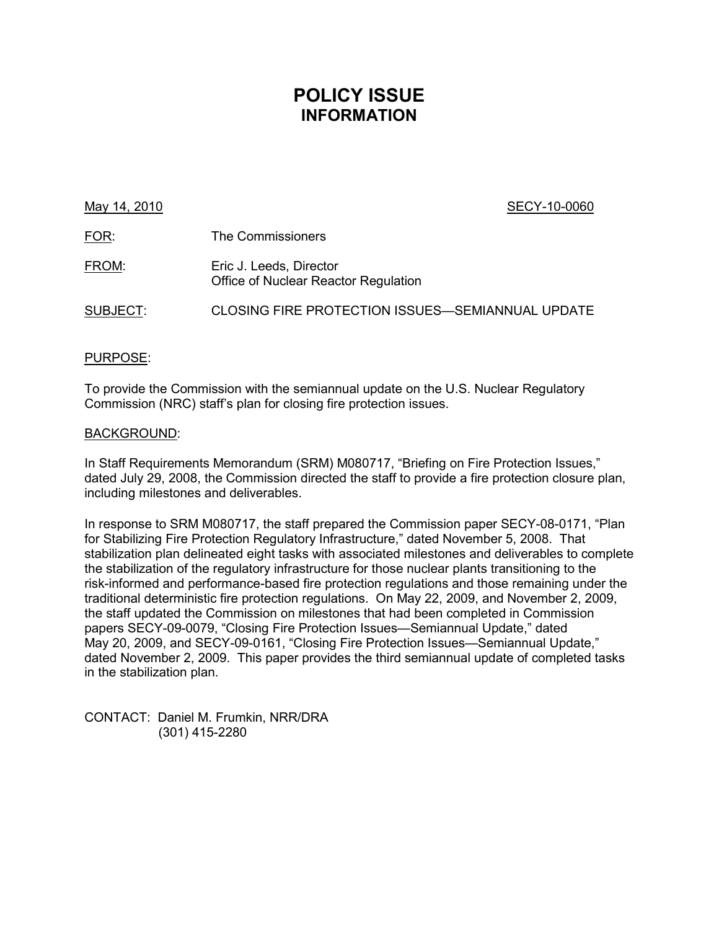### **POLICY ISSUE INFORMATION**

### May 14, 2010 **SECY-10-0060**

| <u>FOR:</u> | The Commissioners                                               |
|-------------|-----------------------------------------------------------------|
| FROM:       | Eric J. Leeds, Director<br>Office of Nuclear Reactor Regulation |
| SUBJECT:    | CLOSING FIRE PROTECTION ISSUES-SEMIANNUAL UPDATE                |

### PURPOSE:

To provide the Commission with the semiannual update on the U.S. Nuclear Regulatory Commission (NRC) staff's plan for closing fire protection issues.

### BACKGROUND:

In Staff Requirements Memorandum (SRM) M080717, "Briefing on Fire Protection Issues," dated July 29, 2008, the Commission directed the staff to provide a fire protection closure plan, including milestones and deliverables.

In response to SRM M080717, the staff prepared the Commission paper SECY-08-0171, "Plan for Stabilizing Fire Protection Regulatory Infrastructure," dated November 5, 2008. That stabilization plan delineated eight tasks with associated milestones and deliverables to complete the stabilization of the regulatory infrastructure for those nuclear plants transitioning to the risk-informed and performance-based fire protection regulations and those remaining under the traditional deterministic fire protection regulations. On May 22, 2009, and November 2, 2009, the staff updated the Commission on milestones that had been completed in Commission papers SECY-09-0079, "Closing Fire Protection Issues—Semiannual Update," dated May 20, 2009, and SECY-09-0161, "Closing Fire Protection Issues—Semiannual Update," dated November 2, 2009. This paper provides the third semiannual update of completed tasks in the stabilization plan.

CONTACT: Daniel M. Frumkin, NRR/DRA (301) 415-2280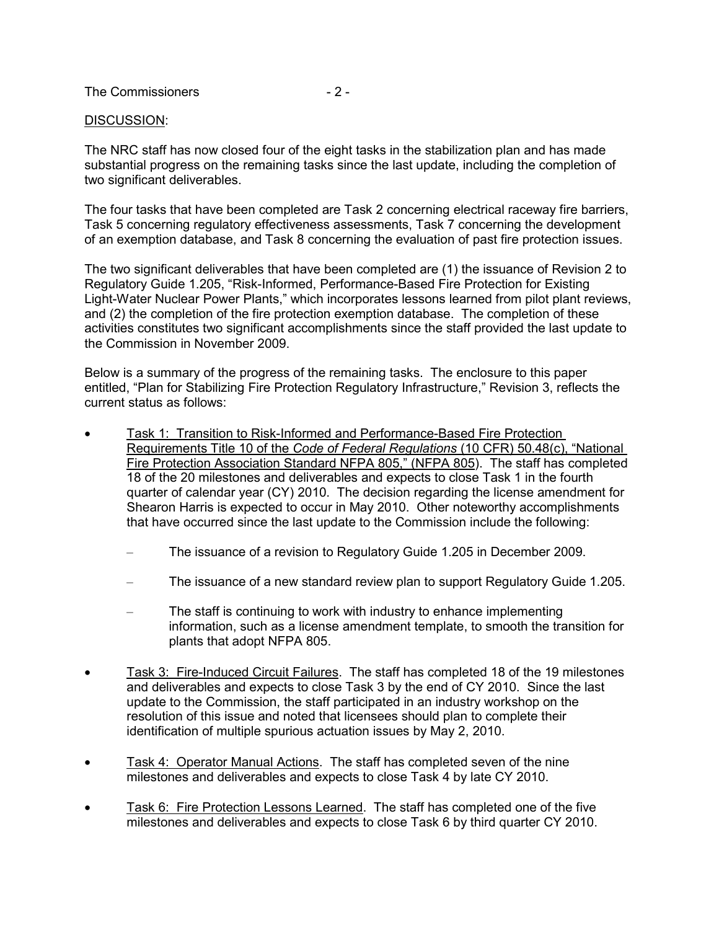The Commissioners  $-2$  -

### DISCUSSION:

The NRC staff has now closed four of the eight tasks in the stabilization plan and has made substantial progress on the remaining tasks since the last update, including the completion of two significant deliverables.

The four tasks that have been completed are Task 2 concerning electrical raceway fire barriers, Task 5 concerning regulatory effectiveness assessments, Task 7 concerning the development of an exemption database, and Task 8 concerning the evaluation of past fire protection issues.

The two significant deliverables that have been completed are (1) the issuance of Revision 2 to Regulatory Guide 1.205, "Risk-Informed, Performance-Based Fire Protection for Existing Light-Water Nuclear Power Plants," which incorporates lessons learned from pilot plant reviews, and (2) the completion of the fire protection exemption database. The completion of these activities constitutes two significant accomplishments since the staff provided the last update to the Commission in November 2009.

Below is a summary of the progress of the remaining tasks. The enclosure to this paper entitled, "Plan for Stabilizing Fire Protection Regulatory Infrastructure," Revision 3, reflects the current status as follows:

- Task 1: Transition to Risk-Informed and Performance-Based Fire Protection Requirements Title 10 of the *Code of Federal Regulations* (10 CFR) 50.48(c), "National Fire Protection Association Standard NFPA 805," (NFPA 805). The staff has completed 18 of the 20 milestones and deliverables and expects to close Task 1 in the fourth quarter of calendar year (CY) 2010. The decision regarding the license amendment for Shearon Harris is expected to occur in May 2010. Other noteworthy accomplishments that have occurred since the last update to the Commission include the following:
	- The issuance of a revision to Regulatory Guide 1.205 in December 2009.
	- The issuance of a new standard review plan to support Regulatory Guide 1.205.
	- The staff is continuing to work with industry to enhance implementing information, such as a license amendment template, to smooth the transition for plants that adopt NFPA 805.
- Task 3: Fire-Induced Circuit Failures. The staff has completed 18 of the 19 milestones and deliverables and expects to close Task 3 by the end of CY 2010. Since the last update to the Commission, the staff participated in an industry workshop on the resolution of this issue and noted that licensees should plan to complete their identification of multiple spurious actuation issues by May 2, 2010.
- Task 4: Operator Manual Actions. The staff has completed seven of the nine milestones and deliverables and expects to close Task 4 by late CY 2010.
- Task 6: Fire Protection Lessons Learned. The staff has completed one of the five milestones and deliverables and expects to close Task 6 by third quarter CY 2010.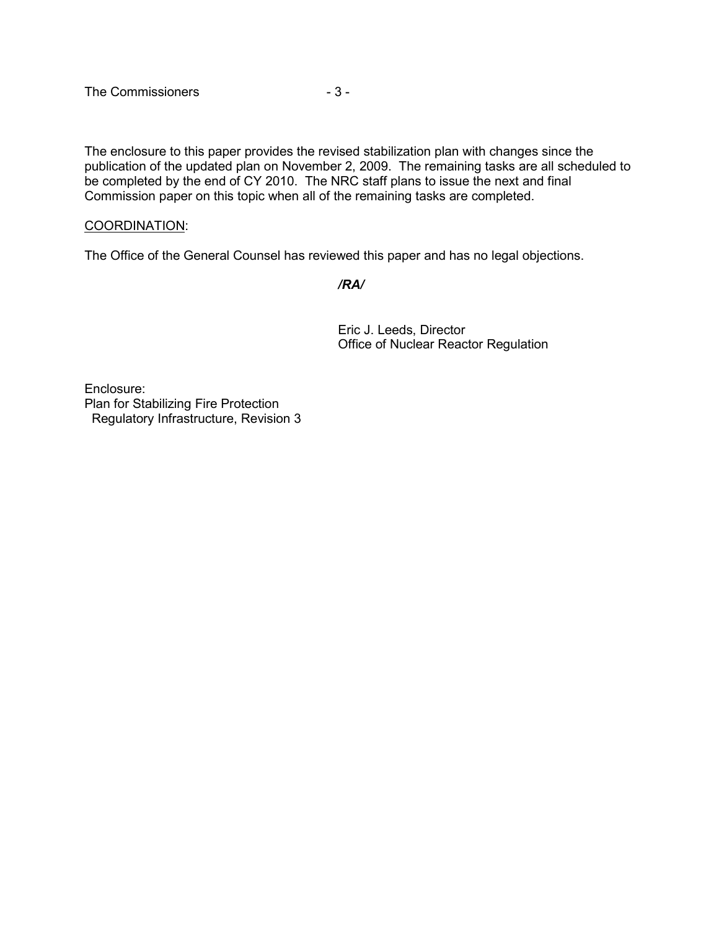The enclosure to this paper provides the revised stabilization plan with changes since the publication of the updated plan on November 2, 2009. The remaining tasks are all scheduled to be completed by the end of CY 2010. The NRC staff plans to issue the next and final Commission paper on this topic when all of the remaining tasks are completed.

### COORDINATION:

The Office of the General Counsel has reviewed this paper and has no legal objections.

 */RA/* 

Eric J. Leeds, Director Office of Nuclear Reactor Regulation

Enclosure: Plan for Stabilizing Fire Protection Regulatory Infrastructure, Revision 3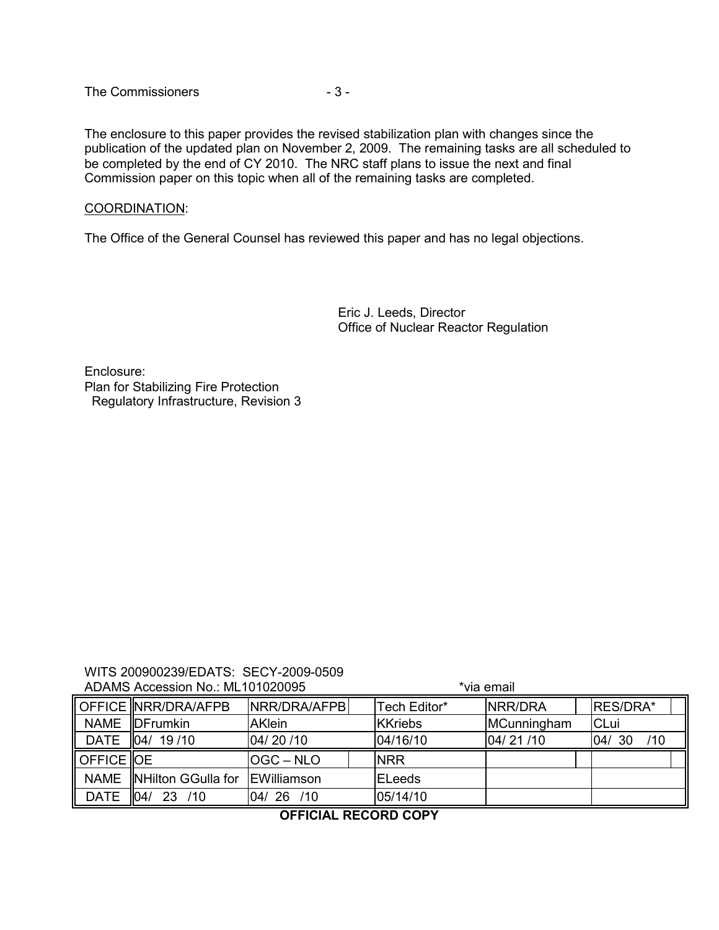The Commissioners  $-3-$ 

The enclosure to this paper provides the revised stabilization plan with changes since the publication of the updated plan on November 2, 2009. The remaining tasks are all scheduled to be completed by the end of CY 2010. The NRC staff plans to issue the next and final Commission paper on this topic when all of the remaining tasks are completed.

### COORDINATION:

The Office of the General Counsel has reviewed this paper and has no legal objections.

Eric J. Leeds, Director Office of Nuclear Reactor Regulation

Enclosure: Plan for Stabilizing Fire Protection Regulatory Infrastructure, Revision 3

#### WITS 200900239/EDATS: SECY-2009-0509 ADAMS Accession No.: ML101020095  $*$ via email

|                       | $1.1$ . The second condition of $1.1$ . The second condition of $1.0$ $\pm 0.00$ |               |                |                 |                  |
|-----------------------|----------------------------------------------------------------------------------|---------------|----------------|-----------------|------------------|
|                       | OFFICE NRR/DRA/AFPB                                                              | NRR/DRA/AFPB  | Tech Editor*   | <b>INRR/DRA</b> | <b>IRES/DRA*</b> |
|                       | NAME DFrumkin                                                                    | <b>AKlein</b> | <b>KKriebs</b> | MCunningham     | <b>CLui</b>      |
| <b>DATE</b>           | 104/19/10                                                                        | 104/20/10     | 04/16/10       | 104/21/10       | /10<br> 04/30    |
| Il OFFICE <b>I</b> OE |                                                                                  | OGC-NLO       | <b>NRR</b>     |                 |                  |
| <b>NAME</b>           | NHilton GGulla for                                                               | EWilliamson   | <b>ELeeds</b>  |                 |                  |
| <b>DATE</b>           | 04/<br>23<br>/10                                                                 | 04/26 /10     | 05/14/10       |                 |                  |

### **OFFICIAL RECORD COPY**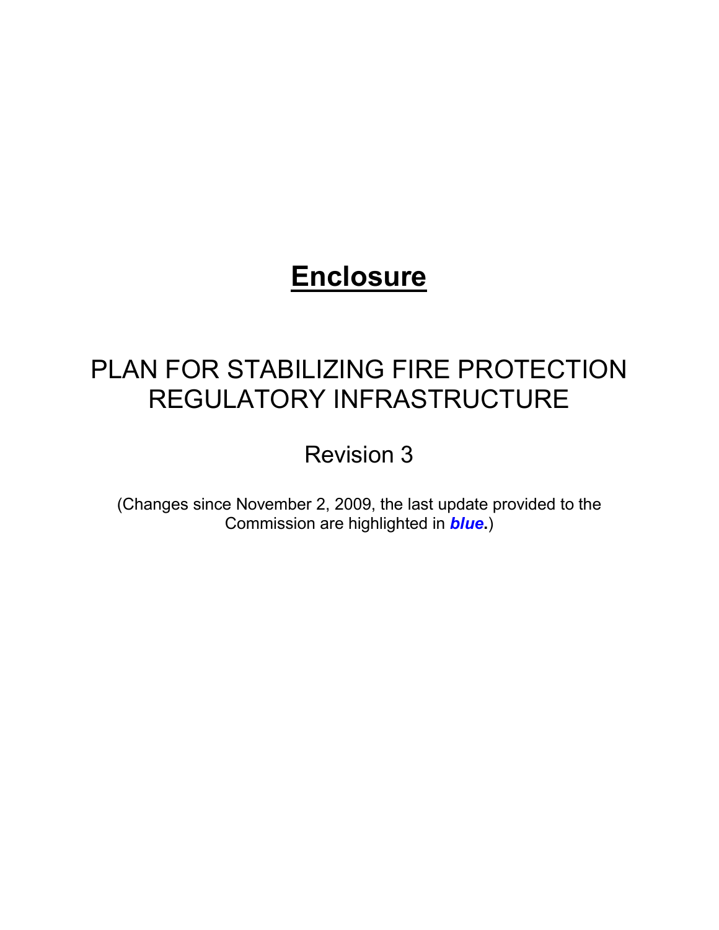# **Enclosure**

## PLAN FOR STABILIZING FIRE PROTECTION REGULATORY INFRASTRUCTURE

Revision 3

(Changes since November 2, 2009, the last update provided to the Commission are highlighted in *blue***.**)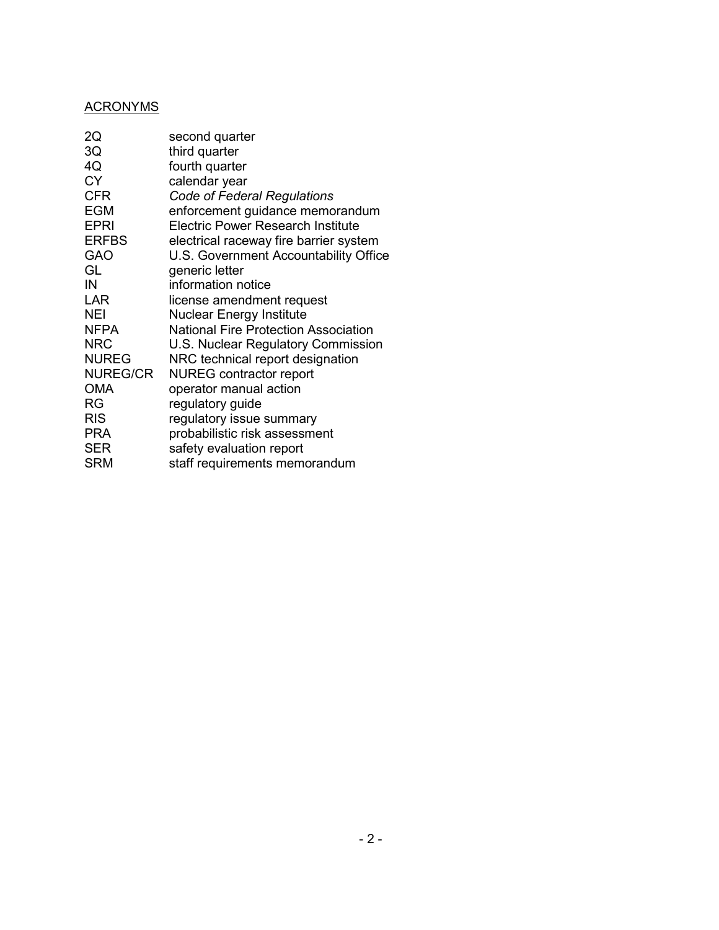### ACRONYMS

| 2Q              | second quarter                              |
|-----------------|---------------------------------------------|
| 3Q              | third quarter                               |
| 4Q              | fourth quarter                              |
| <b>CY</b>       | calendar year                               |
| <b>CFR</b>      | <b>Code of Federal Regulations</b>          |
| <b>EGM</b>      | enforcement guidance memorandum             |
| <b>EPRI</b>     | Electric Power Research Institute           |
| <b>ERFBS</b>    | electrical raceway fire barrier system      |
| <b>GAO</b>      | U.S. Government Accountability Office       |
| GL              | generic letter                              |
| IN              | information notice                          |
| <b>LAR</b>      | license amendment request                   |
| <b>NEI</b>      | <b>Nuclear Energy Institute</b>             |
| <b>NFPA</b>     | <b>National Fire Protection Association</b> |
| <b>NRC</b>      | U.S. Nuclear Regulatory Commission          |
| <b>NUREG</b>    | NRC technical report designation            |
| <b>NUREG/CR</b> | <b>NUREG</b> contractor report              |
| <b>OMA</b>      | operator manual action                      |
| RG              | regulatory guide                            |
| <b>RIS</b>      | regulatory issue summary                    |
| <b>PRA</b>      | probabilistic risk assessment               |
| <b>SER</b>      | safety evaluation report                    |
| <b>SRM</b>      | staff requirements memorandum               |
|                 |                                             |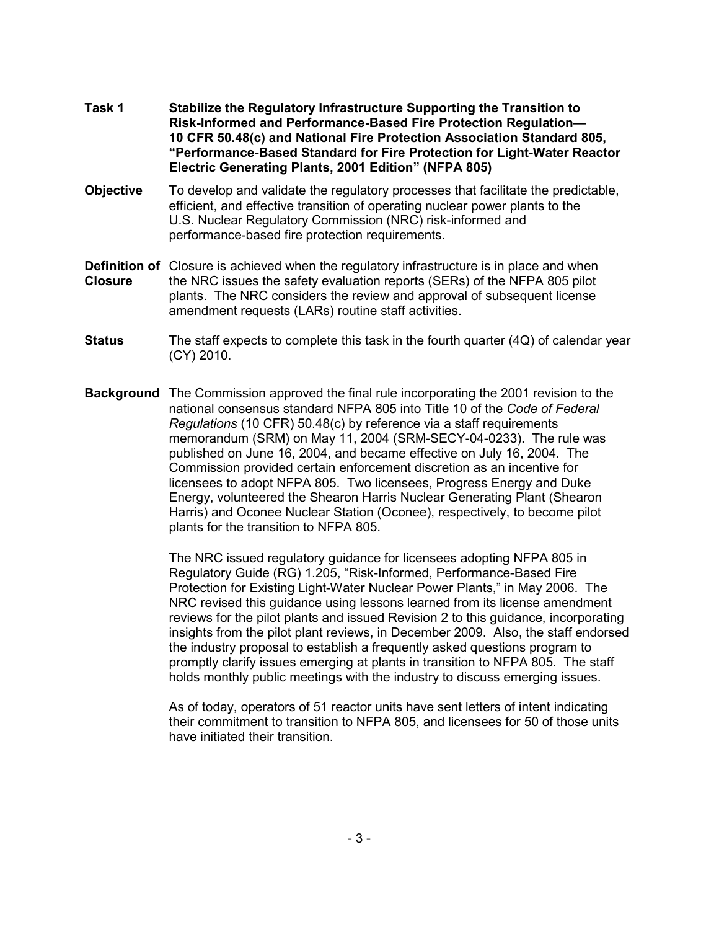- **Task 1 Stabilize the Regulatory Infrastructure Supporting the Transition to**  **Risk-Informed and Performance-Based Fire Protection Regulation— 10 CFR 50.48(c) and National Fire Protection Association Standard 805, "Performance-Based Standard for Fire Protection for Light-Water Reactor Electric Generating Plants, 2001 Edition" (NFPA 805)**
- **Objective** To develop and validate the regulatory processes that facilitate the predictable, efficient, and effective transition of operating nuclear power plants to the U.S. Nuclear Regulatory Commission (NRC) risk-informed and performance-based fire protection requirements.
- **Definition of** Closure is achieved when the regulatory infrastructure is in place and when **Closure** the NRC issues the safety evaluation reports (SERs) of the NFPA 805 pilot plants. The NRC considers the review and approval of subsequent license amendment requests (LARs) routine staff activities.
- **Status** The staff expects to complete this task in the fourth quarter (4Q) of calendar year (CY) 2010.
- **Background** The Commission approved the final rule incorporating the 2001 revision to the national consensus standard NFPA 805 into Title 10 of the *Code of Federal Regulations* (10 CFR) 50.48(c) by reference via a staff requirements memorandum (SRM) on May 11, 2004 (SRM-SECY-04-0233). The rule was published on June 16, 2004, and became effective on July 16, 2004. The Commission provided certain enforcement discretion as an incentive for licensees to adopt NFPA 805. Two licensees, Progress Energy and Duke Energy, volunteered the Shearon Harris Nuclear Generating Plant (Shearon Harris) and Oconee Nuclear Station (Oconee), respectively, to become pilot plants for the transition to NFPA 805.

The NRC issued regulatory guidance for licensees adopting NFPA 805 in Regulatory Guide (RG) 1.205, "Risk-Informed, Performance-Based Fire Protection for Existing Light-Water Nuclear Power Plants," in May 2006. The NRC revised this guidance using lessons learned from its license amendment reviews for the pilot plants and issued Revision 2 to this guidance, incorporating insights from the pilot plant reviews, in December 2009. Also, the staff endorsed the industry proposal to establish a frequently asked questions program to promptly clarify issues emerging at plants in transition to NFPA 805. The staff holds monthly public meetings with the industry to discuss emerging issues.

As of today, operators of 51 reactor units have sent letters of intent indicating their commitment to transition to NFPA 805, and licensees for 50 of those units have initiated their transition.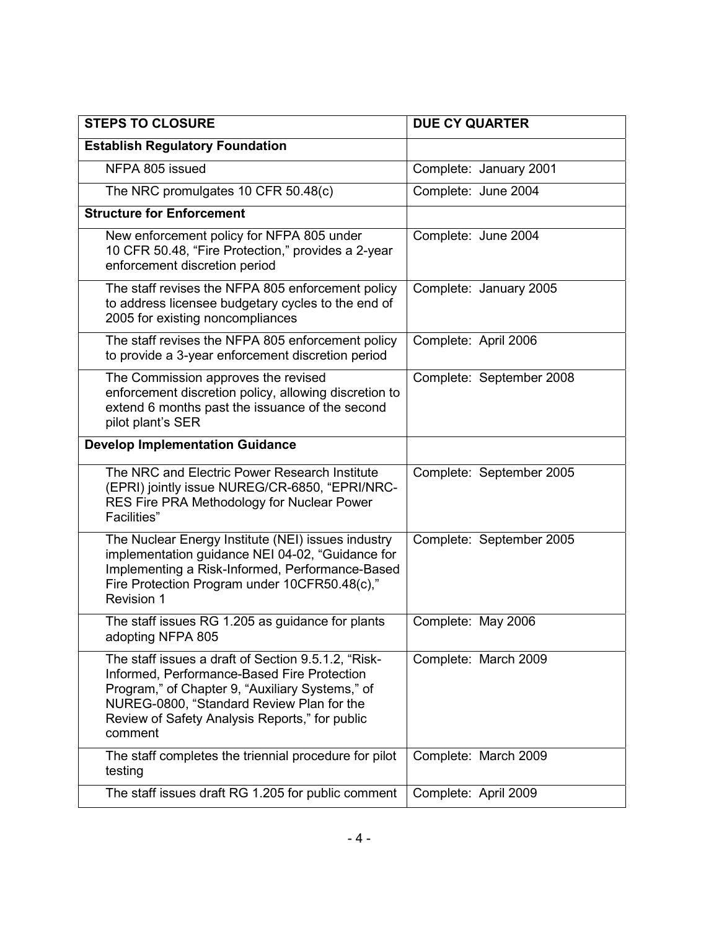| <b>STEPS TO CLOSURE</b>                                                                                                                                                                                                                                         | <b>DUE CY QUARTER</b>    |
|-----------------------------------------------------------------------------------------------------------------------------------------------------------------------------------------------------------------------------------------------------------------|--------------------------|
| <b>Establish Regulatory Foundation</b>                                                                                                                                                                                                                          |                          |
| NFPA 805 issued                                                                                                                                                                                                                                                 | Complete: January 2001   |
| The NRC promulgates 10 CFR 50.48(c)                                                                                                                                                                                                                             | Complete: June 2004      |
| <b>Structure for Enforcement</b>                                                                                                                                                                                                                                |                          |
| New enforcement policy for NFPA 805 under<br>10 CFR 50.48, "Fire Protection," provides a 2-year<br>enforcement discretion period                                                                                                                                | Complete: June 2004      |
| The staff revises the NFPA 805 enforcement policy<br>to address licensee budgetary cycles to the end of<br>2005 for existing noncompliances                                                                                                                     | Complete: January 2005   |
| The staff revises the NFPA 805 enforcement policy<br>to provide a 3-year enforcement discretion period                                                                                                                                                          | Complete: April 2006     |
| The Commission approves the revised<br>enforcement discretion policy, allowing discretion to<br>extend 6 months past the issuance of the second<br>pilot plant's SER                                                                                            | Complete: September 2008 |
| <b>Develop Implementation Guidance</b>                                                                                                                                                                                                                          |                          |
| The NRC and Electric Power Research Institute<br>(EPRI) jointly issue NUREG/CR-6850, "EPRI/NRC-<br>RES Fire PRA Methodology for Nuclear Power<br>Facilities"                                                                                                    | Complete: September 2005 |
| The Nuclear Energy Institute (NEI) issues industry<br>implementation guidance NEI 04-02, "Guidance for<br>Implementing a Risk-Informed, Performance-Based<br>Fire Protection Program under 10CFR50.48(c),"<br><b>Revision 1</b>                                 | Complete: September 2005 |
| The staff issues RG 1.205 as guidance for plants<br>adopting NFPA 805                                                                                                                                                                                           | Complete: May 2006       |
| The staff issues a draft of Section 9.5.1.2, "Risk-<br>Informed, Performance-Based Fire Protection<br>Program," of Chapter 9, "Auxiliary Systems," of<br>NUREG-0800, "Standard Review Plan for the<br>Review of Safety Analysis Reports," for public<br>comment | Complete: March 2009     |
| The staff completes the triennial procedure for pilot<br>testing                                                                                                                                                                                                | Complete: March 2009     |
| The staff issues draft RG 1.205 for public comment                                                                                                                                                                                                              | Complete: April 2009     |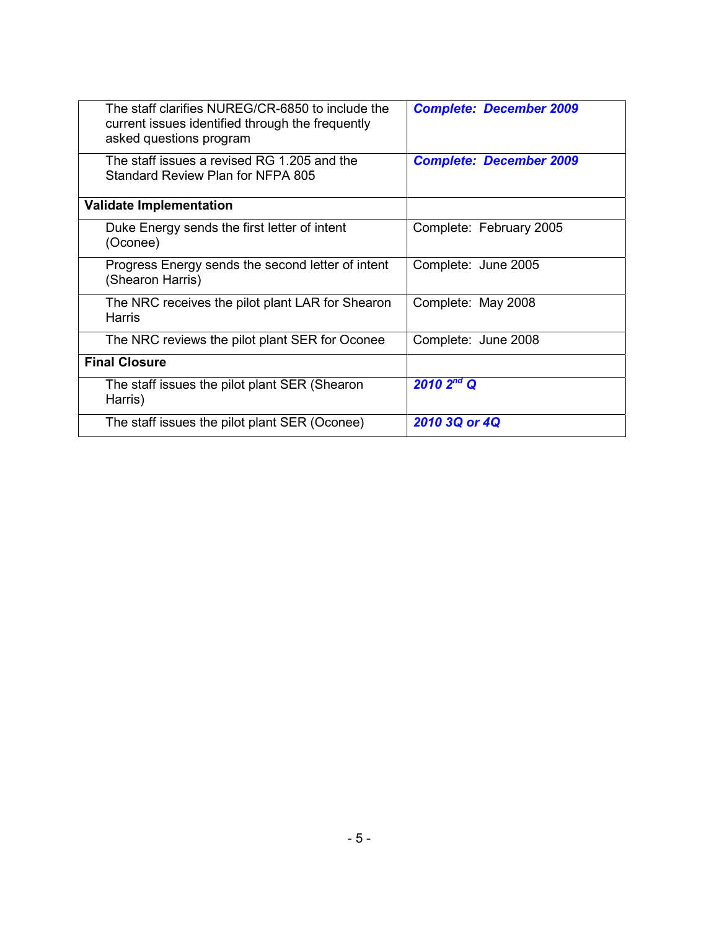| The staff clarifies NUREG/CR-6850 to include the<br>current issues identified through the frequently<br>asked questions program | <b>Complete: December 2009</b> |
|---------------------------------------------------------------------------------------------------------------------------------|--------------------------------|
| The staff issues a revised RG 1.205 and the<br>Standard Review Plan for NFPA 805                                                | <b>Complete: December 2009</b> |
| <b>Validate Implementation</b>                                                                                                  |                                |
| Duke Energy sends the first letter of intent<br>(Oconee)                                                                        | Complete: February 2005        |
| Progress Energy sends the second letter of intent<br>(Shearon Harris)                                                           | Complete: June 2005            |
| The NRC receives the pilot plant LAR for Shearon<br>Harris                                                                      | Complete: May 2008             |
| The NRC reviews the pilot plant SER for Oconee                                                                                  | Complete: June 2008            |
| <b>Final Closure</b>                                                                                                            |                                |
| The staff issues the pilot plant SER (Shearon<br>Harris)                                                                        | $2010\,2^{nd}$ Q               |
| The staff issues the pilot plant SER (Oconee)                                                                                   | 2010 3Q or 4Q                  |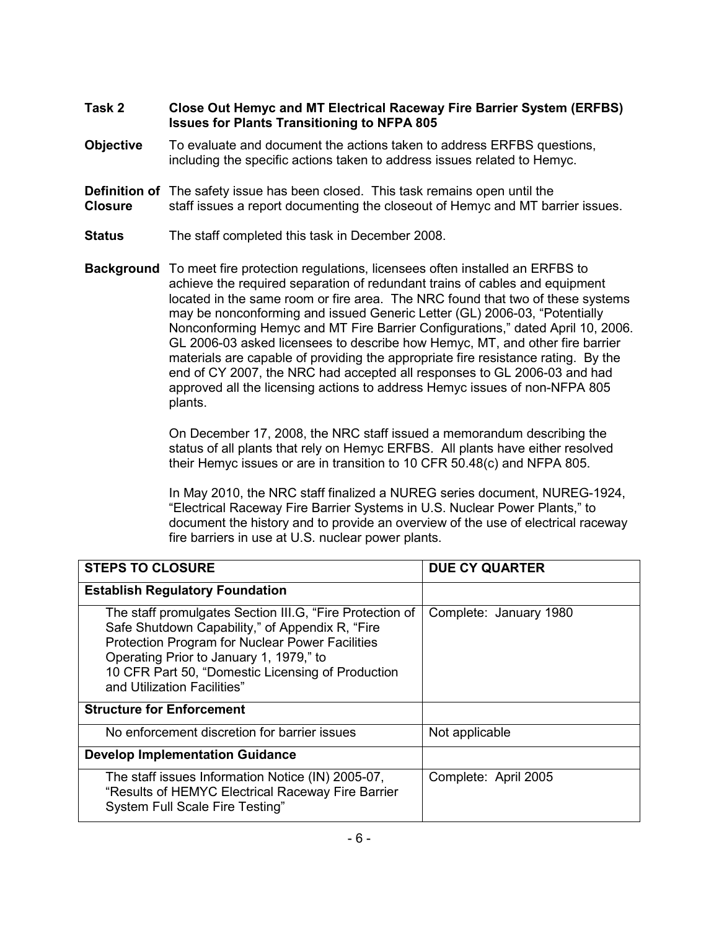- **Task 2 Close Out Hemyc and MT Electrical Raceway Fire Barrier System (ERFBS) Issues for Plants Transitioning to NFPA 805**
- **Objective** To evaluate and document the actions taken to address ERFBS questions, including the specific actions taken to address issues related to Hemyc.
- **Definition of** The safety issue has been closed. This task remains open until the **Closure** staff issues a report documenting the closeout of Hemyc and MT barrier issues.
- **Status** The staff completed this task in December 2008.
- **Background** To meet fire protection regulations, licensees often installed an ERFBS to achieve the required separation of redundant trains of cables and equipment located in the same room or fire area. The NRC found that two of these systems may be nonconforming and issued Generic Letter (GL) 2006-03, "Potentially Nonconforming Hemyc and MT Fire Barrier Configurations," dated April 10, 2006. GL 2006-03 asked licensees to describe how Hemyc, MT, and other fire barrier materials are capable of providing the appropriate fire resistance rating. By the end of CY 2007, the NRC had accepted all responses to GL 2006-03 and had approved all the licensing actions to address Hemyc issues of non-NFPA 805 plants.

On December 17, 2008, the NRC staff issued a memorandum describing the status of all plants that rely on Hemyc ERFBS. All plants have either resolved their Hemyc issues or are in transition to 10 CFR 50.48(c) and NFPA 805.

In May 2010, the NRC staff finalized a NUREG series document, NUREG-1924, "Electrical Raceway Fire Barrier Systems in U.S. Nuclear Power Plants," to document the history and to provide an overview of the use of electrical raceway fire barriers in use at U.S. nuclear power plants.

| <b>STEPS TO CLOSURE</b>                                                                                                                                                                                                                                                                              | <b>DUE CY QUARTER</b>  |
|------------------------------------------------------------------------------------------------------------------------------------------------------------------------------------------------------------------------------------------------------------------------------------------------------|------------------------|
| <b>Establish Regulatory Foundation</b>                                                                                                                                                                                                                                                               |                        |
| The staff promulgates Section III.G, "Fire Protection of<br>Safe Shutdown Capability," of Appendix R, "Fire<br><b>Protection Program for Nuclear Power Facilities</b><br>Operating Prior to January 1, 1979," to<br>10 CFR Part 50, "Domestic Licensing of Production<br>and Utilization Facilities" | Complete: January 1980 |
| <b>Structure for Enforcement</b>                                                                                                                                                                                                                                                                     |                        |
| No enforcement discretion for barrier issues                                                                                                                                                                                                                                                         | Not applicable         |
| <b>Develop Implementation Guidance</b>                                                                                                                                                                                                                                                               |                        |
| The staff issues Information Notice (IN) 2005-07,<br>"Results of HEMYC Electrical Raceway Fire Barrier<br>System Full Scale Fire Testing"                                                                                                                                                            | Complete: April 2005   |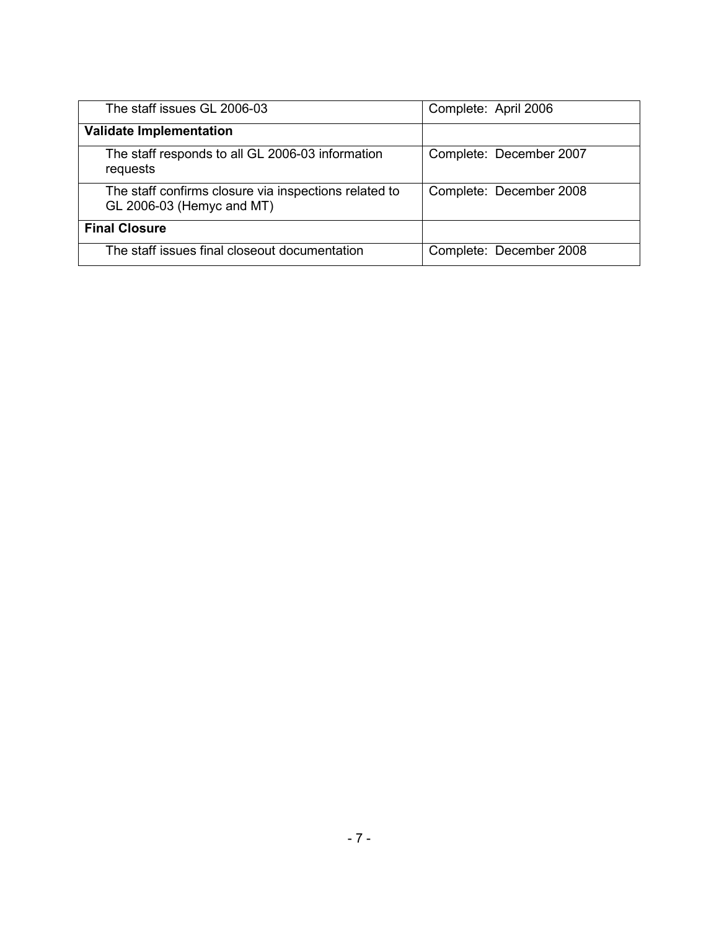| The staff issues GL 2006-03                                                        | Complete: April 2006    |
|------------------------------------------------------------------------------------|-------------------------|
| <b>Validate Implementation</b>                                                     |                         |
| The staff responds to all GL 2006-03 information<br>requests                       | Complete: December 2007 |
| The staff confirms closure via inspections related to<br>GL 2006-03 (Hemyc and MT) | Complete: December 2008 |
| <b>Final Closure</b>                                                               |                         |
| The staff issues final closeout documentation                                      | Complete: December 2008 |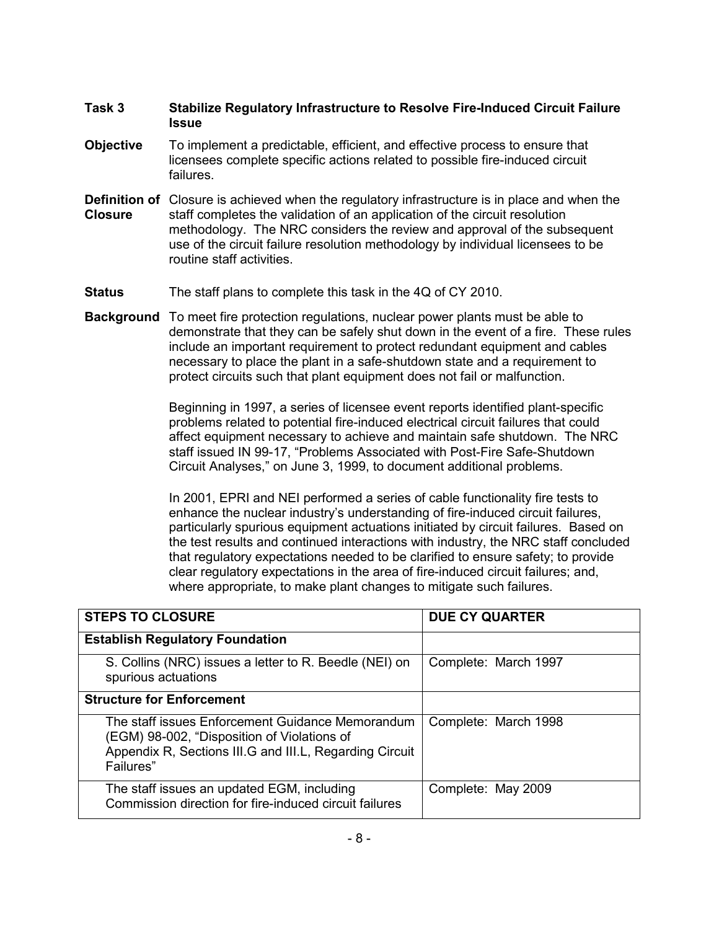### **Task 3 Stabilize Regulatory Infrastructure to Resolve Fire-Induced Circuit Failure Issue**

- **Objective** To implement a predictable, efficient, and effective process to ensure that licensees complete specific actions related to possible fire-induced circuit failures.
- **Definition of** Closure is achieved when the regulatory infrastructure is in place and when the **Closure** staff completes the validation of an application of the circuit resolution methodology. The NRC considers the review and approval of the subsequent use of the circuit failure resolution methodology by individual licensees to be routine staff activities.
- **Status** The staff plans to complete this task in the 4Q of CY 2010.
- **Background** To meet fire protection regulations, nuclear power plants must be able to demonstrate that they can be safely shut down in the event of a fire. These rules include an important requirement to protect redundant equipment and cables necessary to place the plant in a safe-shutdown state and a requirement to protect circuits such that plant equipment does not fail or malfunction.

Beginning in 1997, a series of licensee event reports identified plant-specific problems related to potential fire-induced electrical circuit failures that could affect equipment necessary to achieve and maintain safe shutdown. The NRC staff issued IN 99-17, "Problems Associated with Post-Fire Safe-Shutdown Circuit Analyses," on June 3, 1999, to document additional problems.

In 2001, EPRI and NEI performed a series of cable functionality fire tests to enhance the nuclear industry's understanding of fire-induced circuit failures, particularly spurious equipment actuations initiated by circuit failures. Based on the test results and continued interactions with industry, the NRC staff concluded that regulatory expectations needed to be clarified to ensure safety; to provide clear regulatory expectations in the area of fire-induced circuit failures; and, where appropriate, to make plant changes to mitigate such failures.

| <b>STEPS TO CLOSURE</b>                                                                                                                                                 | <b>DUE CY QUARTER</b> |
|-------------------------------------------------------------------------------------------------------------------------------------------------------------------------|-----------------------|
|                                                                                                                                                                         |                       |
| <b>Establish Regulatory Foundation</b>                                                                                                                                  |                       |
| S. Collins (NRC) issues a letter to R. Beedle (NEI) on<br>spurious actuations                                                                                           | Complete: March 1997  |
| <b>Structure for Enforcement</b>                                                                                                                                        |                       |
| The staff issues Enforcement Guidance Memorandum<br>(EGM) 98-002, "Disposition of Violations of<br>Appendix R, Sections III.G and III.L, Regarding Circuit<br>Failures" | Complete: March 1998  |
| The staff issues an updated EGM, including<br>Commission direction for fire-induced circuit failures                                                                    | Complete: May 2009    |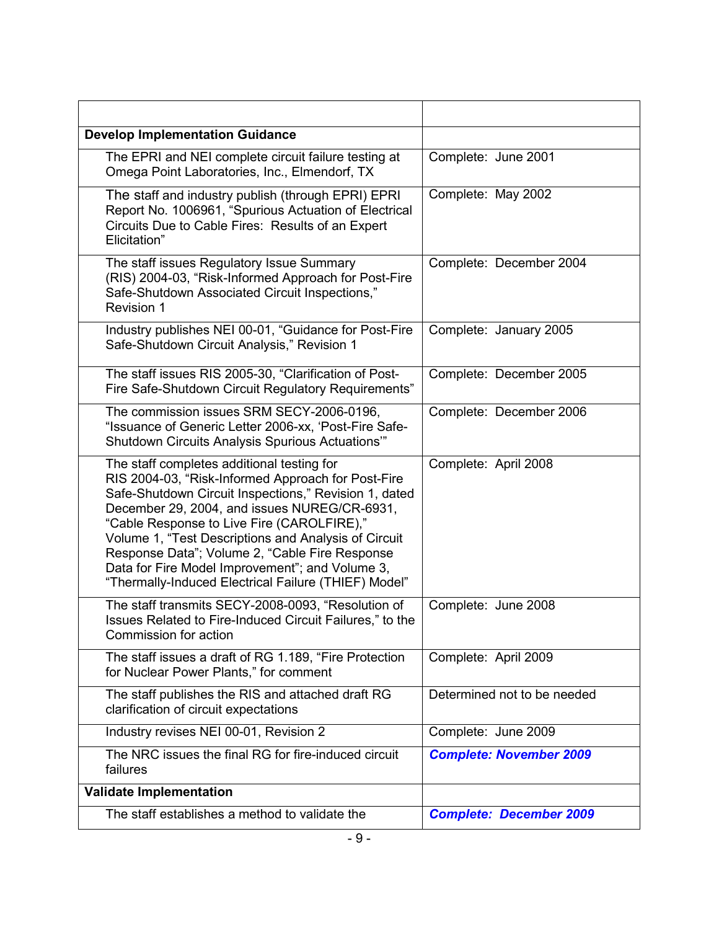| <b>Develop Implementation Guidance</b>                                                                                                                                                                                                                                                                                                                                                                                                                                       |                                |
|------------------------------------------------------------------------------------------------------------------------------------------------------------------------------------------------------------------------------------------------------------------------------------------------------------------------------------------------------------------------------------------------------------------------------------------------------------------------------|--------------------------------|
| The EPRI and NEI complete circuit failure testing at<br>Omega Point Laboratories, Inc., Elmendorf, TX                                                                                                                                                                                                                                                                                                                                                                        | Complete: June 2001            |
| The staff and industry publish (through EPRI) EPRI<br>Report No. 1006961, "Spurious Actuation of Electrical<br>Circuits Due to Cable Fires: Results of an Expert<br>Elicitation"                                                                                                                                                                                                                                                                                             | Complete: May 2002             |
| The staff issues Regulatory Issue Summary<br>(RIS) 2004-03, "Risk-Informed Approach for Post-Fire<br>Safe-Shutdown Associated Circuit Inspections,"<br><b>Revision 1</b>                                                                                                                                                                                                                                                                                                     | Complete: December 2004        |
| Industry publishes NEI 00-01, "Guidance for Post-Fire<br>Safe-Shutdown Circuit Analysis," Revision 1                                                                                                                                                                                                                                                                                                                                                                         | Complete: January 2005         |
| The staff issues RIS 2005-30, "Clarification of Post-<br>Fire Safe-Shutdown Circuit Regulatory Requirements"                                                                                                                                                                                                                                                                                                                                                                 | Complete: December 2005        |
| The commission issues SRM SECY-2006-0196,<br>"Issuance of Generic Letter 2006-xx, 'Post-Fire Safe-<br>Shutdown Circuits Analysis Spurious Actuations"                                                                                                                                                                                                                                                                                                                        | Complete: December 2006        |
| The staff completes additional testing for<br>RIS 2004-03, "Risk-Informed Approach for Post-Fire<br>Safe-Shutdown Circuit Inspections," Revision 1, dated<br>December 29, 2004, and issues NUREG/CR-6931,<br>"Cable Response to Live Fire (CAROLFIRE),"<br>Volume 1, "Test Descriptions and Analysis of Circuit<br>Response Data"; Volume 2, "Cable Fire Response<br>Data for Fire Model Improvement"; and Volume 3,<br>"Thermally-Induced Electrical Failure (THIEF) Model" | Complete: April 2008           |
| The staff transmits SECY-2008-0093, "Resolution of<br>Issues Related to Fire-Induced Circuit Failures," to the<br>Commission for action                                                                                                                                                                                                                                                                                                                                      | Complete: June 2008            |
| The staff issues a draft of RG 1.189, "Fire Protection<br>for Nuclear Power Plants," for comment                                                                                                                                                                                                                                                                                                                                                                             | Complete: April 2009           |
| The staff publishes the RIS and attached draft RG<br>clarification of circuit expectations                                                                                                                                                                                                                                                                                                                                                                                   | Determined not to be needed    |
| Industry revises NEI 00-01, Revision 2                                                                                                                                                                                                                                                                                                                                                                                                                                       | Complete: June 2009            |
| The NRC issues the final RG for fire-induced circuit<br>failures                                                                                                                                                                                                                                                                                                                                                                                                             | <b>Complete: November 2009</b> |
| <b>Validate Implementation</b>                                                                                                                                                                                                                                                                                                                                                                                                                                               |                                |
| The staff establishes a method to validate the                                                                                                                                                                                                                                                                                                                                                                                                                               | <b>Complete: December 2009</b> |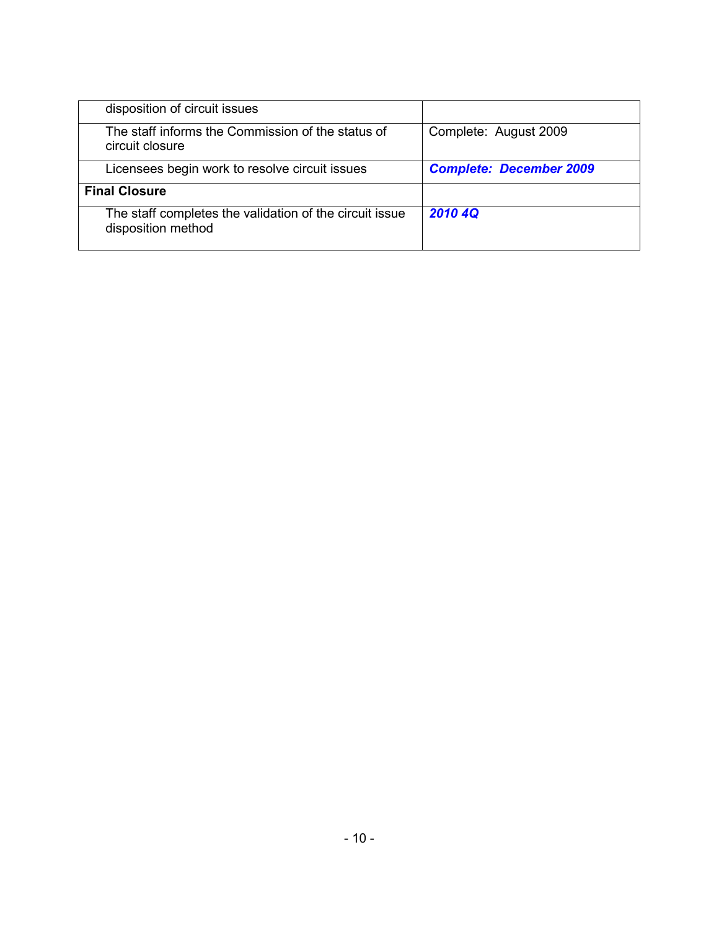| disposition of circuit issues                                                 |                                |
|-------------------------------------------------------------------------------|--------------------------------|
| The staff informs the Commission of the status of<br>circuit closure          | Complete: August 2009          |
| Licensees begin work to resolve circuit issues                                | <b>Complete: December 2009</b> |
| <b>Final Closure</b>                                                          |                                |
| The staff completes the validation of the circuit issue<br>disposition method | 2010 4Q                        |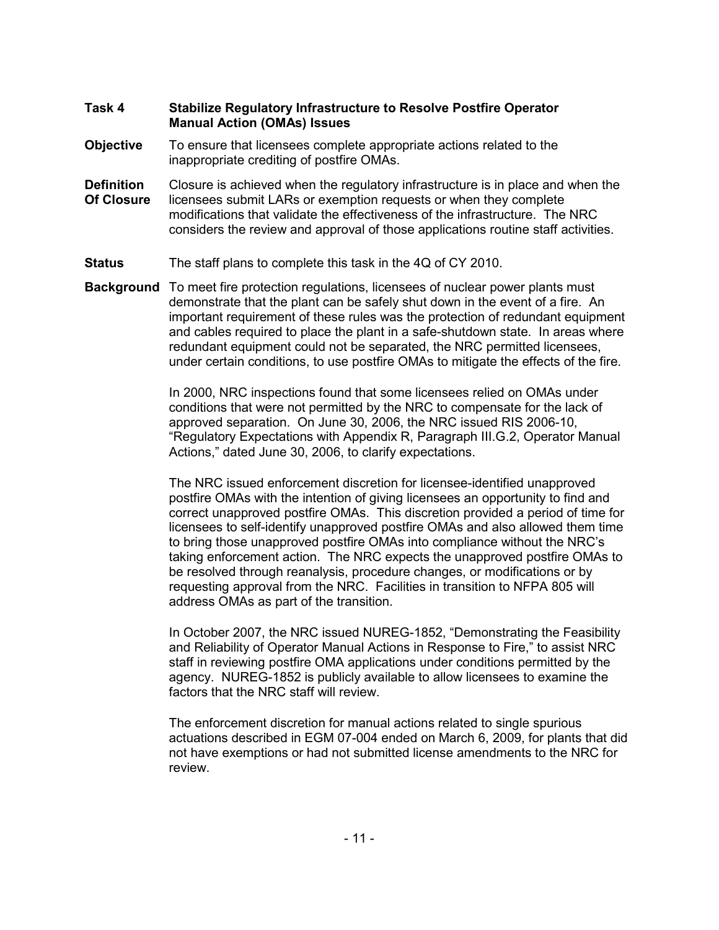### **Task 4 Stabilize Regulatory Infrastructure to Resolve Postfire Operator Manual Action (OMAs) Issues**

- **Objective** To ensure that licensees complete appropriate actions related to the inappropriate crediting of postfire OMAs.
- **Definition** Closure is achieved when the regulatory infrastructure is in place and when the **Of Closure** licensees submit LARs or exemption requests or when they complete modifications that validate the effectiveness of the infrastructure. The NRC considers the review and approval of those applications routine staff activities.
- **Status** The staff plans to complete this task in the 4Q of CY 2010.
- **Background** To meet fire protection regulations, licensees of nuclear power plants must demonstrate that the plant can be safely shut down in the event of a fire. An important requirement of these rules was the protection of redundant equipment and cables required to place the plant in a safe-shutdown state. In areas where redundant equipment could not be separated, the NRC permitted licensees, under certain conditions, to use postfire OMAs to mitigate the effects of the fire.

In 2000, NRC inspections found that some licensees relied on OMAs under conditions that were not permitted by the NRC to compensate for the lack of approved separation. On June 30, 2006, the NRC issued RIS 2006-10, "Regulatory Expectations with Appendix R, Paragraph III.G.2, Operator Manual Actions," dated June 30, 2006, to clarify expectations.

The NRC issued enforcement discretion for licensee-identified unapproved postfire OMAs with the intention of giving licensees an opportunity to find and correct unapproved postfire OMAs. This discretion provided a period of time for licensees to self-identify unapproved postfire OMAs and also allowed them time to bring those unapproved postfire OMAs into compliance without the NRC's taking enforcement action. The NRC expects the unapproved postfire OMAs to be resolved through reanalysis, procedure changes, or modifications or by requesting approval from the NRC. Facilities in transition to NFPA 805 will address OMAs as part of the transition.

In October 2007, the NRC issued NUREG-1852, "Demonstrating the Feasibility and Reliability of Operator Manual Actions in Response to Fire," to assist NRC staff in reviewing postfire OMA applications under conditions permitted by the agency. NUREG-1852 is publicly available to allow licensees to examine the factors that the NRC staff will review.

The enforcement discretion for manual actions related to single spurious actuations described in EGM 07-004 ended on March 6, 2009, for plants that did not have exemptions or had not submitted license amendments to the NRC for review.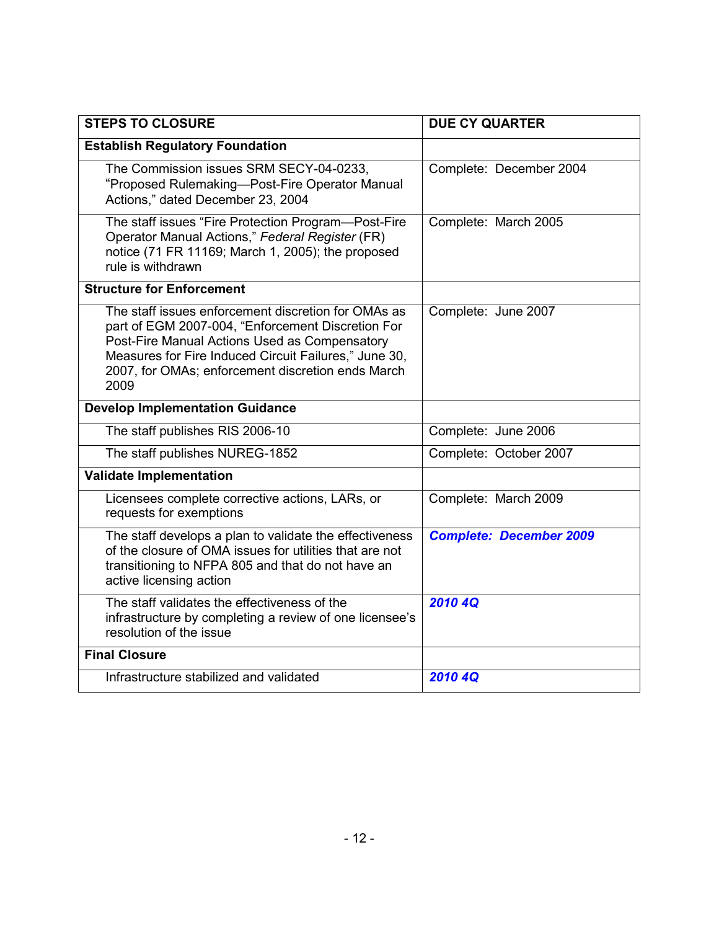| <b>STEPS TO CLOSURE</b>                                                                                                                                                                                                                                                         | <b>DUE CY QUARTER</b>          |
|---------------------------------------------------------------------------------------------------------------------------------------------------------------------------------------------------------------------------------------------------------------------------------|--------------------------------|
| <b>Establish Regulatory Foundation</b>                                                                                                                                                                                                                                          |                                |
| The Commission issues SRM SECY-04-0233,<br>"Proposed Rulemaking-Post-Fire Operator Manual<br>Actions," dated December 23, 2004                                                                                                                                                  | Complete: December 2004        |
| The staff issues "Fire Protection Program-Post-Fire<br>Operator Manual Actions," Federal Register (FR)<br>notice (71 FR 11169; March 1, 2005); the proposed<br>rule is withdrawn                                                                                                | Complete: March 2005           |
| <b>Structure for Enforcement</b>                                                                                                                                                                                                                                                |                                |
| The staff issues enforcement discretion for OMAs as<br>part of EGM 2007-004, "Enforcement Discretion For<br>Post-Fire Manual Actions Used as Compensatory<br>Measures for Fire Induced Circuit Failures," June 30,<br>2007, for OMAs; enforcement discretion ends March<br>2009 | Complete: June 2007            |
| <b>Develop Implementation Guidance</b>                                                                                                                                                                                                                                          |                                |
| The staff publishes RIS 2006-10                                                                                                                                                                                                                                                 | Complete: June 2006            |
| The staff publishes NUREG-1852                                                                                                                                                                                                                                                  | Complete: October 2007         |
| <b>Validate Implementation</b>                                                                                                                                                                                                                                                  |                                |
| Licensees complete corrective actions, LARs, or<br>requests for exemptions                                                                                                                                                                                                      | Complete: March 2009           |
| The staff develops a plan to validate the effectiveness<br>of the closure of OMA issues for utilities that are not<br>transitioning to NFPA 805 and that do not have an<br>active licensing action                                                                              | <b>Complete: December 2009</b> |
| The staff validates the effectiveness of the<br>infrastructure by completing a review of one licensee's<br>resolution of the issue                                                                                                                                              | <b>2010 4Q</b>                 |
| <b>Final Closure</b>                                                                                                                                                                                                                                                            |                                |
| Infrastructure stabilized and validated                                                                                                                                                                                                                                         | 2010 4Q                        |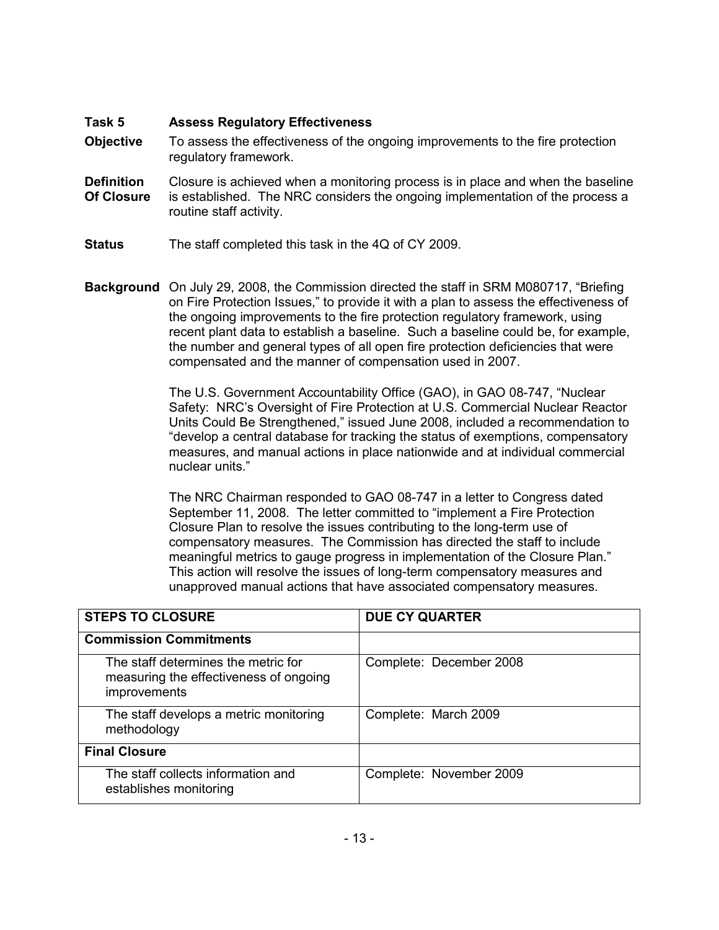### **Task 5 Assess Regulatory Effectiveness**

- **Objective** To assess the effectiveness of the ongoing improvements to the fire protection regulatory framework.
- **Definition** Closure is achieved when a monitoring process is in place and when the baseline **Of Closure** is established. The NRC considers the ongoing implementation of the process a routine staff activity.
- **Status** The staff completed this task in the 4Q of CY 2009.
- **Background** On July 29, 2008, the Commission directed the staff in SRM M080717, "Briefing on Fire Protection Issues," to provide it with a plan to assess the effectiveness of the ongoing improvements to the fire protection regulatory framework, using recent plant data to establish a baseline. Such a baseline could be, for example, the number and general types of all open fire protection deficiencies that were compensated and the manner of compensation used in 2007.

The U.S. Government Accountability Office (GAO), in GAO 08-747, "Nuclear Safety: NRC's Oversight of Fire Protection at U.S. Commercial Nuclear Reactor Units Could Be Strengthened," issued June 2008, included a recommendation to "develop a central database for tracking the status of exemptions, compensatory measures, and manual actions in place nationwide and at individual commercial nuclear units."

The NRC Chairman responded to GAO 08-747 in a letter to Congress dated September 11, 2008. The letter committed to "implement a Fire Protection Closure Plan to resolve the issues contributing to the long-term use of compensatory measures. The Commission has directed the staff to include meaningful metrics to gauge progress in implementation of the Closure Plan." This action will resolve the issues of long-term compensatory measures and unapproved manual actions that have associated compensatory measures.

| <b>STEPS TO CLOSURE</b>                                                                       | <b>DUE CY QUARTER</b>   |
|-----------------------------------------------------------------------------------------------|-------------------------|
| <b>Commission Commitments</b>                                                                 |                         |
| The staff determines the metric for<br>measuring the effectiveness of ongoing<br>improvements | Complete: December 2008 |
| The staff develops a metric monitoring<br>methodology                                         | Complete: March 2009    |
| <b>Final Closure</b>                                                                          |                         |
| The staff collects information and<br>establishes monitoring                                  | Complete: November 2009 |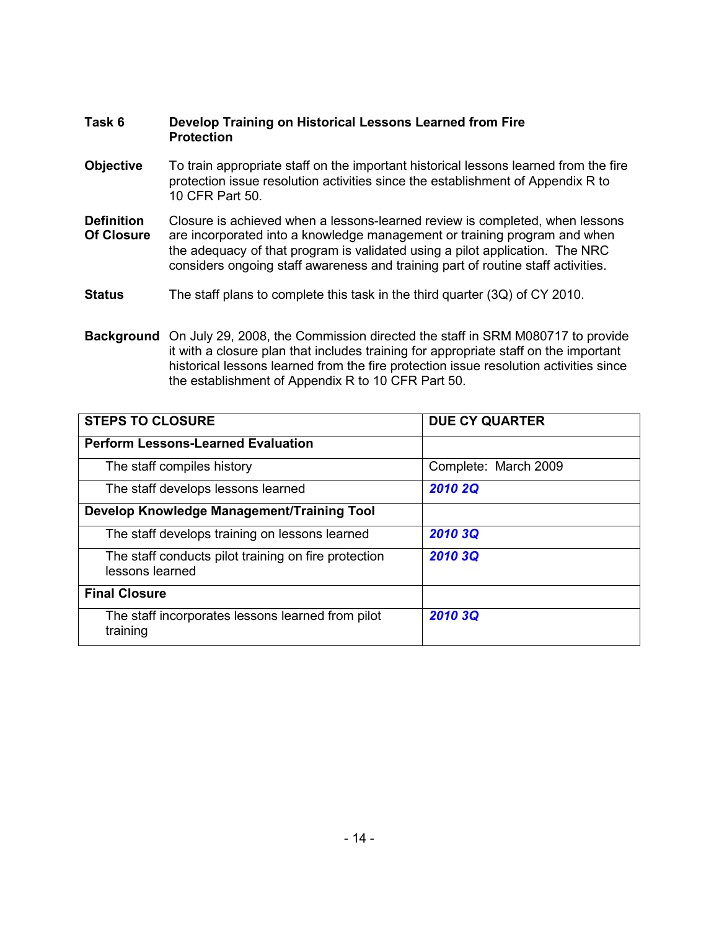### **Task 6 Develop Training on Historical Lessons Learned from Fire Protection**

- **Objective** To train appropriate staff on the important historical lessons learned from the fire protection issue resolution activities since the establishment of Appendix R to 10 CFR Part 50.
- **Definition** Closure is achieved when a lessons-learned review is completed, when lessons **Of Closure** are incorporated into a knowledge management or training program and when the adequacy of that program is validated using a pilot application. The NRC considers ongoing staff awareness and training part of routine staff activities.
- **Status** The staff plans to complete this task in the third quarter (3Q) of CY 2010.
- **Background** On July 29, 2008, the Commission directed the staff in SRM M080717 to provide it with a closure plan that includes training for appropriate staff on the important historical lessons learned from the fire protection issue resolution activities since the establishment of Appendix R to 10 CFR Part 50.

| <b>STEPS TO CLOSURE</b>                                                 | <b>DUE CY QUARTER</b> |
|-------------------------------------------------------------------------|-----------------------|
| <b>Perform Lessons-Learned Evaluation</b>                               |                       |
| The staff compiles history                                              | Complete: March 2009  |
| The staff develops lessons learned                                      | <b>2010 2Q</b>        |
| Develop Knowledge Management/Training Tool                              |                       |
| The staff develops training on lessons learned                          | 2010 3Q               |
| The staff conducts pilot training on fire protection<br>lessons learned | 2010 3Q               |
| <b>Final Closure</b>                                                    |                       |
| The staff incorporates lessons learned from pilot<br>training           | 2010 3Q               |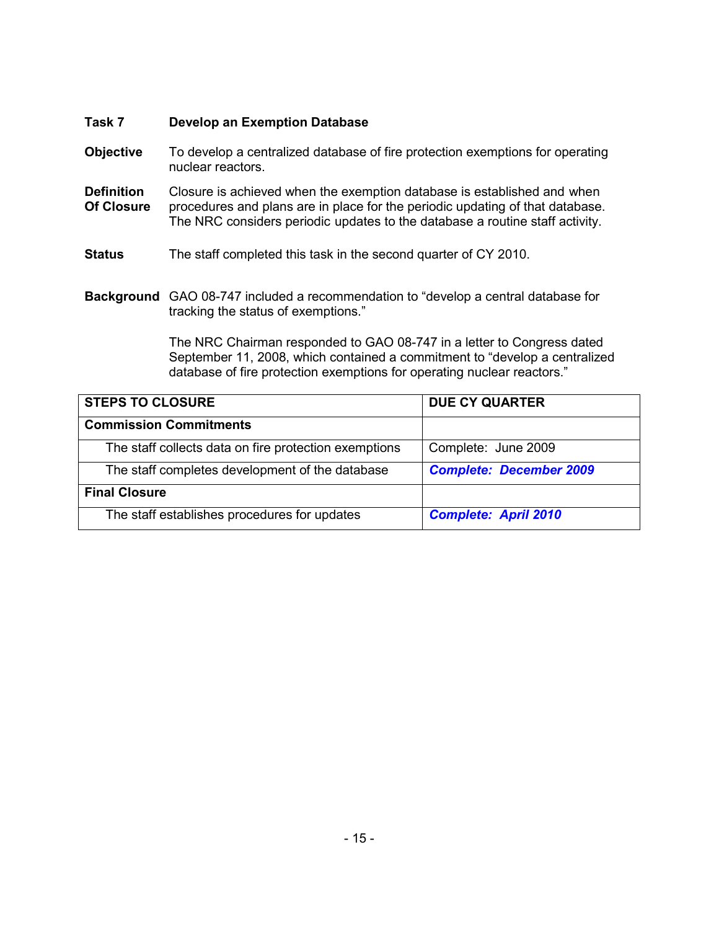### **Task 7 Develop an Exemption Database**

- **Objective** To develop a centralized database of fire protection exemptions for operating nuclear reactors.
- **Definition** Closure is achieved when the exemption database is established and when **Of Closure** procedures and plans are in place for the periodic updating of that database. The NRC considers periodic updates to the database a routine staff activity.
- **Status** The staff completed this task in the second quarter of CY 2010.
- **Background** GAO 08-747 included a recommendation to "develop a central database for tracking the status of exemptions."

The NRC Chairman responded to GAO 08-747 in a letter to Congress dated September 11, 2008, which contained a commitment to "develop a centralized database of fire protection exemptions for operating nuclear reactors."

| <b>STEPS TO CLOSURE</b>                               | <b>DUE CY QUARTER</b>          |
|-------------------------------------------------------|--------------------------------|
| <b>Commission Commitments</b>                         |                                |
| The staff collects data on fire protection exemptions | Complete: June 2009            |
| The staff completes development of the database       | <b>Complete: December 2009</b> |
| <b>Final Closure</b>                                  |                                |
| The staff establishes procedures for updates          | <b>Complete: April 2010</b>    |